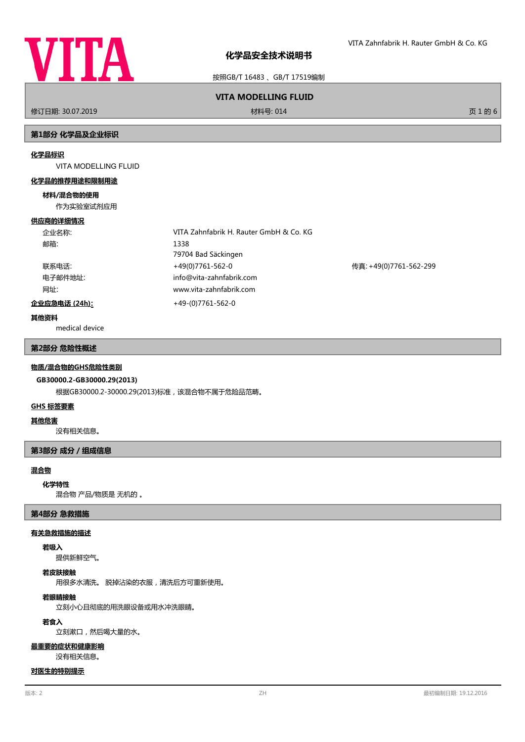

按照GB/T 16483 、GB/T 17519编制

# **VITA MODELLING FLUID**

修订日期: 30.07.2019 材料号: 014 页 1 的 6

# **第1部分 化学品及企业标识**

### **化学品标识**

VITA MODELLING FLUID

### **化学品的推荐用途和限制用途**

## **材料/混合物的使用**

作为实验室试剂应用

### **供应商的详细情况**

| 企业名称:         | VITA Zahnfabrik H. Rauter GmbH & Co. KG |                        |
|---------------|-----------------------------------------|------------------------|
| 邮箱:           | 1338                                    |                        |
|               | 79704 Bad Säckingen                     |                        |
| 联系电话:         | +49(0)7761-562-0                        | 传真: +49(0)7761-562-299 |
| 电子邮件地址:       | info@vita-zahnfabrik.com                |                        |
| 网址:           | www.vita-zahnfabrik.com                 |                        |
| 企业应急电话 (24h): | $+49-(0)7761-562-0$                     |                        |

# **其他资料**

medical device

# **第2部分 危险性概述**

## **物质/混合物的GHS危险性类别**

# **GB30000.2-GB30000.29(2013)**

根据GB30000.2-30000.29(2013)标准,该混合物不属于危险品范畴。

## **GHS 标签要素**

### **其他危害**

没有相关信息。

# **第3部分 成分/组成信息**

# **混合物**

### **化学特性**

混合物 产品/物质是 无机的 。

# **第4部分 急救措施**

### **有关急救措施的描述**

# **若吸入**

提供新鲜空气。

# **若皮肤接触**

用很多水清洗。 脱掉沾染的衣服,清洗后方可重新使用。

# **若眼睛接触**

立刻小心且彻底的用洗眼设备或用水冲洗眼睛。

# **若食入**

立刻漱口,然后喝大量的水。

### **最重要的症状和健康影响**

没有相关信息。

# **对医生的特别提示**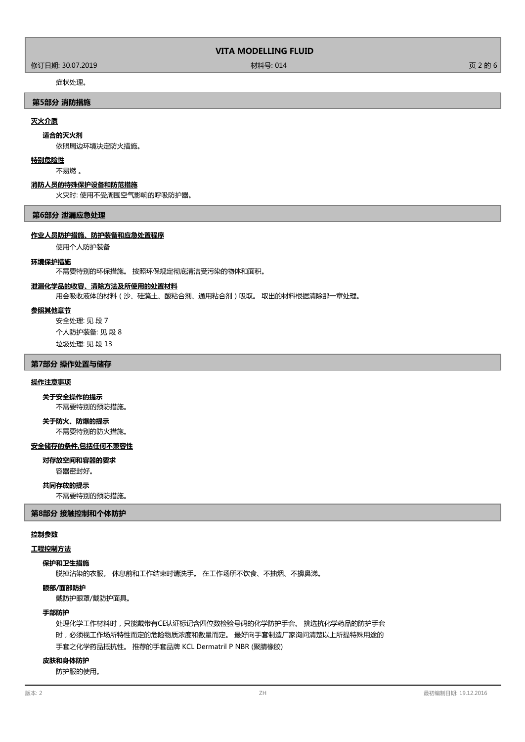# **VITA MODELLING FLUID**

修订日期: 30.07.2019 材料号: 014 页 2 的 6

# 症状处理。

# **第5部分 消防措施**

# **灭火介质**

### **适合的灭火剂**

依照周边环境决定防火措施。

### **特别危险性**

不易燃 。

# **消防人员的特殊保护设备和防范措施**

火灾时: 使用不受周围空气影响的呼吸防护器。

## **第6部分 泄漏应急处理**

### **作业人员防护措施、防护装备和应急处置程序**

使用个人防护装备

### **环境保护措施**

不需要特别的环保措施。 按照环保规定彻底清洁受污染的物体和面积。

## **泄漏化学品的收容、清除方法及所使用的处置材料**

用会吸收液体的材料(沙、硅藻土、酸粘合剂、通用粘合剂)吸取。 取出的材料根据清除那一章处理。

### **参照其他章节**

安全处理: 见 段 7 个人防护装备: 见 段 8 垃圾处理: 见 段 13

# **第7部分 操作处置与储存**

### **操作注意事项**

**关于安全操作的提示**

不需要特别的预防措施。

### 不需要特别的防火措施。 **关于防火、防爆的提示**

# **安全储存的条件,包括任何不兼容性**

容器密封好。 **对存放空间和容器的要求**

# **共同存放的提示**

不需要特别的预防措施。

# **第8部分 接触控制和个体防护**

# **控制参数**

# **工程控制方法**

# **保护和卫生措施**

脱掉沾染的衣服。 休息前和工作结束时请洗手。 在工作场所不饮食、不抽烟、不擤鼻涕。

# **眼部/面部防护**

戴防护眼罩/戴防护面具。

### **手部防护**

处理化学工作材料时,只能戴带有CE认证标记含四位数检验号码的化学防护手套。 挑选抗化学药品的防护手套 时,必须视工作场所特性而定的危险物质浓度和数量而定。 最好向手套制造厂家询问清楚以上所提特殊用途的 手套之化学药品抵抗性。 推荐的手套品牌 KCL Dermatril P NBR (聚腈橡胶)

# **皮肤和身体防护**

防护服的使用。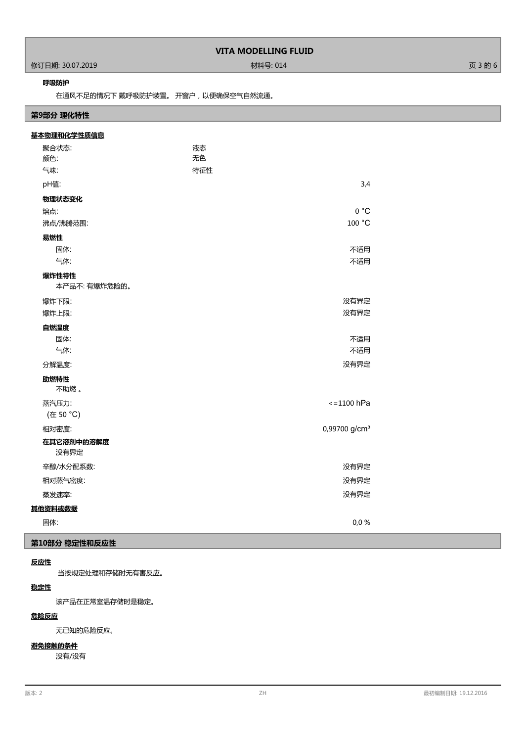|                    | <b>VITA MODELLING FLUID</b> |         |
|--------------------|-----------------------------|---------|
| │ 修订日期: 30.07.2019 | 材料号: 014                    | 页 3 的 6 |

# **呼吸防护**

Г

在通风不足的情况下 戴呼吸防护装置。 开窗户,以便确保空气自然流通。

# **第9部分 理化特性**

| 基本物理和化学性质信息        |                           |  |
|--------------------|---------------------------|--|
| 聚合状态:              | 液态                        |  |
| 颜色:                | 无色                        |  |
| 气味:                | 特征性                       |  |
| pH值:               | 3,4                       |  |
| 物理状态变化             |                           |  |
| 熔点:                | 0 °C                      |  |
| 沸点/沸腾范围:           | 100 °C                    |  |
| 易燃性                |                           |  |
| 固体:                | 不适用                       |  |
| 气体:                | 不适用                       |  |
| 爆炸性特性              |                           |  |
| 本产品不: 有爆炸危险的。      |                           |  |
| 爆炸下限:              | 没有界定                      |  |
| 爆炸上限:              | 没有界定                      |  |
| 自燃温度               |                           |  |
| 固体:                | 不适用                       |  |
| 气体:                | 不适用                       |  |
| 分解温度:              | 没有界定                      |  |
| 助燃特性               |                           |  |
| 不助燃。               |                           |  |
| 蒸汽压力:              | $\epsilon$ =1100 hPa      |  |
| (在 50 °C)          |                           |  |
| 相对密度:              | 0,99700 g/cm <sup>3</sup> |  |
| 在其它溶剂中的溶解度<br>没有界定 |                           |  |
| 辛醇/水分配系数:          | 没有界定                      |  |
| 相对蒸气密度:            | 没有界定                      |  |
| 蒸发速率:              | 没有界定                      |  |
| 其他资料或数据            |                           |  |
| 固体:                | 0,0%                      |  |

# **第10部分 稳定性和反应性**

# **反应性**

当按规定处理和存储时无有害反应。

# **稳定性**

该产品在正常室温存储时是稳定。

# **危险反应**

无已知的危险反应。

# **避免接触的条件**

没有/没有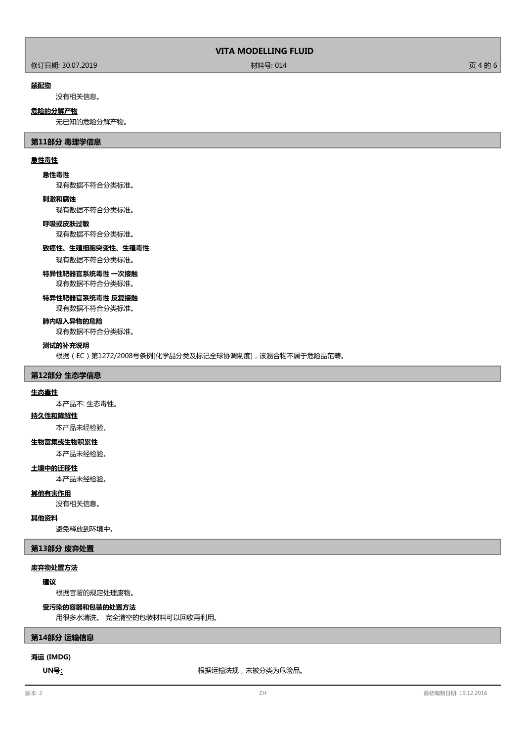# 修订日期: 30.07.2019 材料号: 014 页 4 的 6

### **禁配物**

没有相关信息。

### **危险的分解产物**

无已知的危险分解产物。

# **第11部分 毒理学信息**

# **急性毒性**

### **急性毒性**

现有数据不符合分类标准。

### **刺激和腐蚀**

现有数据不符合分类标准。

# **呼吸或皮肤过敏**

现有数据不符合分类标准。

# **致癌性、生殖细胞突变性、生殖毒性**

现有数据不符合分类标准。

### **特异性靶器官系统毒性 一次接触**

现有数据不符合分类标准。

# **特异性靶器官系统毒性 反复接触**

现有数据不符合分类标准。

# **肺内吸入异物的危险**

现有数据不符合分类标准。

### **测试的补充说明**

根据(EC)第1272/2008号条例[化学品分类及标记全球协调制度],该混合物不属于危险品范畴。

# **第12部分 生态学信息**

### **生态毒性**

本产品不: 生态毒性。

# **持久性和降解性**

本产品未经检验。

# **生物富集或生物积累性**

本产品未经检验。

### **土壤中的迁移性**

本产品未经检验。

# **其他有害作用**

没有相关信息。

# **其他资料**

避免释放到环境中。

# **第13部分 废弃处置**

# **废弃物处置方法**

**建议**

根据官署的规定处理废物。

# **受污染的容器和包装的处置方法**

用很多水清洗。 完全清空的包装材料可以回收再利用。

# **第14部分 运输信息**

# **海运 (IMDG)**

**UN号:** 根据运输法规,未被分类为危险品。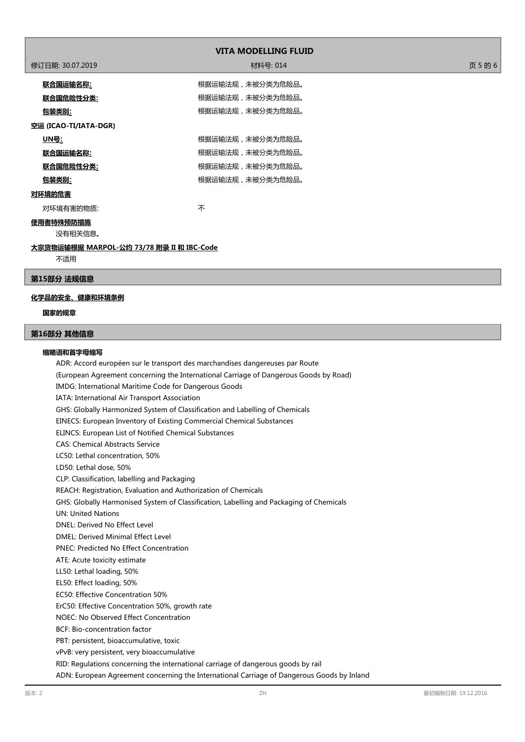| <b>VITA MODELLING FLUID</b>                       |                  |         |  |  |
|---------------------------------------------------|------------------|---------|--|--|
| 修订日期: 30.07.2019                                  | 材料号: 014         | 页 5 的 6 |  |  |
| <u>联合国运输名称:</u>                                   | 根据运输法规,未被分类为危险品。 |         |  |  |
| <u> 联合国危险性分类:</u>                                 | 根据运输法规,未被分类为危险品。 |         |  |  |
| <u>包装类别:</u>                                      | 根据运输法规,未被分类为危险品。 |         |  |  |
| 空运 (ICAO-TI/IATA-DGR)                             |                  |         |  |  |
| <u> UN号:</u>                                      | 根据运输法规,未被分类为危险品。 |         |  |  |
| <u> 联合国运输名称:</u>                                  | 根据运输法规,未被分类为危险品。 |         |  |  |
| <u>联合国危险性分类:</u>                                  | 根据运输法规,未被分类为危险品。 |         |  |  |
| <u>包装类别:</u>                                      | 根据运输法规,未被分类为危险品。 |         |  |  |
| 对环境的危害                                            |                  |         |  |  |
| 对环境有害的物质:                                         | 不                |         |  |  |
| 使用者特殊预防措施<br>没有相关信息。                              |                  |         |  |  |
| 大宗货物运输根据 MARPOL-公约 73/78 附录 II 和 IBC-Code<br>$-1$ |                  |         |  |  |

不适用

### **第15部分 法规信息**

# **化学品的安全、健康和环境条例**

# **国家的规章**

# **第16部分 其他信息**

### **缩略语和首字母缩写**

ADR: Accord européen sur le transport des marchandises dangereuses par Route (European Agreement concerning the International Carriage of Dangerous Goods by Road) IMDG: International Maritime Code for Dangerous Goods IATA: International Air Transport Association GHS: Globally Harmonized System of Classification and Labelling of Chemicals EINECS: European Inventory of Existing Commercial Chemical Substances ELINCS: European List of Notified Chemical Substances CAS: Chemical Abstracts Service LC50: Lethal concentration, 50% LD50: Lethal dose, 50% CLP: Classification, labelling and Packaging REACH: Registration, Evaluation and Authorization of Chemicals GHS: Globally Harmonised System of Classification, Labelling and Packaging of Chemicals UN: United Nations DNEL: Derived No Effect Level DMEL: Derived Minimal Effect Level PNEC: Predicted No Effect Concentration ATE: Acute toxicity estimate LL50: Lethal loading, 50% EL50: Effect loading, 50% EC50: Effective Concentration 50% ErC50: Effective Concentration 50%, growth rate NOEC: No Observed Effect Concentration BCF: Bio-concentration factor PBT: persistent, bioaccumulative, toxic vPvB: very persistent, very bioaccumulative RID: Regulations concerning the international carriage of dangerous goods by rail